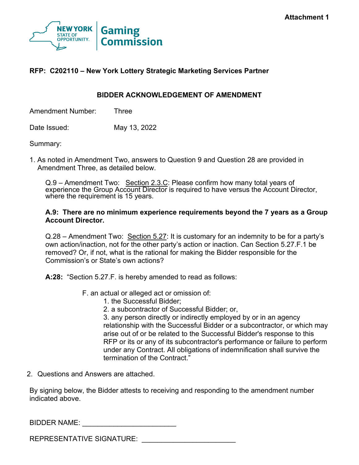

### **RFP: C202110 – New York Lottery Strategic Marketing Services Partner**

#### **BIDDER ACKNOWLEDGEMENT OF AMENDMENT**

Amendment Number: Three

Date Issued: May 13, 2022

Summary:

1. As noted in Amendment Two, answers to Question 9 and Question 28 are provided in Amendment Three, as detailed below.

Q.9 – Amendment Two: Section 2.3.C: Please confirm how many total years of experience the Group Account Director is required to have versus the Account Director, where the requirement is 15 years.

#### **A.9: There are no minimum experience requirements beyond the 7 years as a Group Account Director.**

Q.28 – Amendment Two: Section 5.27: It is customary for an indemnity to be for a party's own action/inaction, not for the other party's action or inaction. Can Section 5.27.F.1 be removed? Or, if not, what is the rational for making the Bidder responsible for the Commission's or State's own actions?

**A:28:** "Section 5.27.F. is hereby amended to read as follows:

- F. an actual or alleged act or omission of:
	- 1. the Successful Bidder;
	- 2. a subcontractor of Successful Bidder; or,

3. any person directly or indirectly employed by or in an agency relationship with the Successful Bidder or a subcontractor, or which may arise out of or be related to the Successful Bidder's response to this RFP or its or any of its subcontractor's performance or failure to perform under any Contract. All obligations of indemnification shall survive the termination of the Contract."

2. Questions and Answers are attached.

By signing below, the Bidder attests to receiving and responding to the amendment number indicated above.

#### BIDDER NAME: \_\_\_\_\_\_\_\_\_\_\_\_\_\_\_\_\_\_\_\_\_\_\_\_

REPRESENTATIVE SIGNATURE: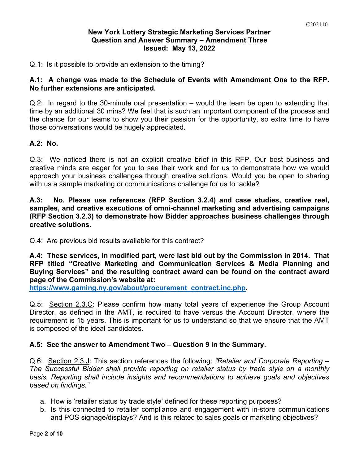#### **New York Lottery Strategic Marketing Services Partner Question and Answer Summary – Amendment Three Issued: May 13, 2022**

Q.1: Is it possible to provide an extension to the timing?

### **A.1: A change was made to the Schedule of Events with Amendment One to the RFP. No further extensions are anticipated.**

Q.2: In regard to the 30-minute oral presentation – would the team be open to extending that time by an additional 30 mins? We feel that is such an important component of the process and the chance for our teams to show you their passion for the opportunity, so extra time to have those conversations would be hugely appreciated.

### **A.2: No.**

Q.3: We noticed there is not an explicit creative brief in this RFP. Our best business and creative minds are eager for you to see their work and for us to demonstrate how we would approach your business challenges through creative solutions. Would you be open to sharing with us a sample marketing or communications challenge for us to tackle?

**A.3: No. Please use references (RFP Section 3.2.4) and case studies, creative reel, samples, and creative executions of omni-channel marketing and advertising campaigns (RFP Section 3.2.3) to demonstrate how Bidder approaches business challenges through creative solutions.**

Q.4: Are previous bid results available for this contract?

**A.4: These services, in modified part, were last bid out by the Commission in 2014. That RFP titled "Creative Marketing and Communication Services & Media Planning and Buying Services" and the resulting contract award can be found on the contract award page of the Commission's website at:**

**[https://www.gaming.ny.gov/about/procurement\\_contract.inc.php.](https://www.gaming.ny.gov/about/procurement_contract.inc.php)**

Q.5: Section 2.3.C: Please confirm how many total years of experience the Group Account Director, as defined in the AMT, is required to have versus the Account Director, where the requirement is 15 years. This is important for us to understand so that we ensure that the AMT is composed of the ideal candidates.

#### **A.5: See the answer to Amendment Two – Question 9 in the Summary.**

Q.6: Section 2.3.J: This section references the following: *"Retailer and Corporate Reporting – The Successful Bidder shall provide reporting on retailer status by trade style on a monthly basis. Reporting shall include insights and recommendations to achieve goals and objectives based on findings."*

- a. How is 'retailer status by trade style' defined for these reporting purposes?
- b. Is this connected to retailer compliance and engagement with in-store communications and POS signage/displays? And is this related to sales goals or marketing objectives?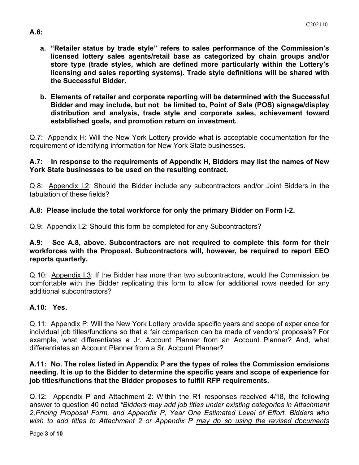- **a. "Retailer status by trade style" refers to sales performance of the Commission's licensed lottery sales agents/retail base as categorized by chain groups and/or store type (trade styles, which are defined more particularly within the Lottery's licensing and sales reporting systems). Trade style definitions will be shared with the Successful Bidder.**
- **b. Elements of retailer and corporate reporting will be determined with the Successful Bidder and may include, but not be limited to, Point of Sale (POS) signage/display distribution and analysis, trade style and corporate sales, achievement toward established goals, and promotion return on investment.**

Q.7: Appendix H: Will the New York Lottery provide what is acceptable documentation for the requirement of identifying information for New York State businesses.

### **A.7: In response to the requirements of Appendix H, Bidders may list the names of New York State businesses to be used on the resulting contract.**

Q.8: Appendix I.2: Should the Bidder include any subcontractors and/or Joint Bidders in the tabulation of these fields?

### **A.8: Please include the total workforce for only the primary Bidder on Form I-2.**

Q.9: Appendix I.2: Should this form be completed for any Subcontractors?

### **A.9: See A.8, above. Subcontractors are not required to complete this form for their workforces with the Proposal. Subcontractors will, however, be required to report EEO reports quarterly.**

Q.10: Appendix I.3: If the Bidder has more than two subcontractors, would the Commission be comfortable with the Bidder replicating this form to allow for additional rows needed for any additional subcontractors?

### **A.10: Yes.**

Q.11: Appendix P: Will the New York Lottery provide specific years and scope of experience for individual job titles/functions so that a fair comparison can be made of vendors' proposals? For example, what differentiates a Jr. Account Planner from an Account Planner? And, what differentiates an Account Planner from a Sr. Account Planner?

#### **A.11: No. The roles listed in Appendix P are the types of roles the Commission envisions needing. It is up to the Bidder to determine the specific years and scope of experience for job titles/functions that the Bidder proposes to fulfill RFP requirements.**

Q.12: Appendix P and Attachment 2: Within the R1 responses received 4/18, the following answer to question 40 noted *"Bidders may add job titles under existing categories in Attachment 2,Pricing Proposal Form, and Appendix P, Year One Estimated Level of Effort. Bidders who wish to add titles to Attachment 2 or Appendix P may do so using the revised documents* 

### **A.6:**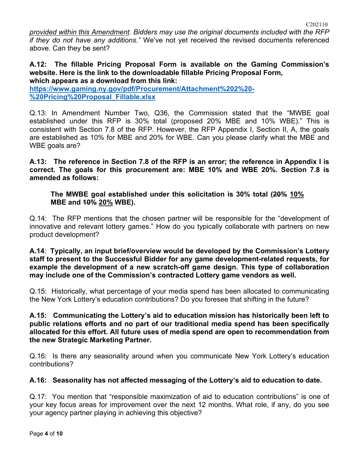*provided within this Amendment. Bidders may use the original documents included with the RFP if they do not have any additions."* We've not yet received the revised documents referenced above. Can they be sent?

#### **A.12: The fillable Pricing Proposal Form is available on the Gaming Commission's website. Here is the link to the downloadable fillable Pricing Proposal Form, which appears as a download from this link:**

**[https://www.gaming.ny.gov/pdf/Procurement/Attachment%202%20-](https://www.gaming.ny.gov/pdf/Procurement/Attachment%202%20-%20Pricing%20Proposal_Fillable.xlsx) [%20Pricing%20Proposal\\_Fillable.xlsx](https://www.gaming.ny.gov/pdf/Procurement/Attachment%202%20-%20Pricing%20Proposal_Fillable.xlsx)**

Q.13: In Amendment Number Two, Q36, the Commission stated that the "MWBE goal established under this RFP is 30% total (proposed 20% MBE and 10% WBE)." This is consistent with Section 7.8 of the RFP. However, the RFP Appendix I, Section II, A, the goals are established as 10% for MBE and 20% for WBE. Can you please clarify what the MBE and WBE goals are?

**A.13: The reference in Section 7.8 of the RFP is an error; the reference in Appendix I is correct. The goals for this procurement are: MBE 10% and WBE 20%. Section 7.8 is amended as follows:**

**The MWBE goal established under this solicitation is 30% total (20% 10% MBE and 10% 20% WBE).**

Q.14: The RFP mentions that the chosen partner will be responsible for the "development of innovative and relevant lottery games." How do you typically collaborate with partners on new product development?

**A.14**: **Typically, an input brief/overview would be developed by the Commission's Lottery staff to present to the Successful Bidder for any game development-related requests, for example the development of a new scratch-off game design. This type of collaboration may include one of the Commission's contracted Lottery game vendors as well.**

Q.15: Historically, what percentage of your media spend has been allocated to communicating the New York Lottery's education contributions? Do you foresee that shifting in the future?

### **A.15: Communicating the Lottery's aid to education mission has historically been left to public relations efforts and no part of our traditional media spend has been specifically allocated for this effort. All future uses of media spend are open to recommendation from the new Strategic Marketing Partner.**

Q.16: Is there any seasonality around when you communicate New York Lottery's education contributions?

# **A.16: Seasonality has not affected messaging of the Lottery's aid to education to date.**

Q.17: You mention that "responsible maximization of aid to education contributions" is one of your key focus areas for improvement over the next 12 months. What role, if any, do you see your agency partner playing in achieving this objective?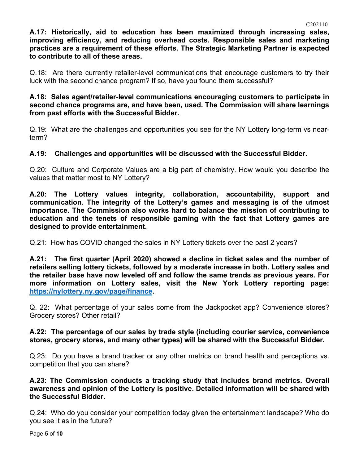**A.17: Historically, aid to education has been maximized through increasing sales, improving efficiency, and reducing overhead costs. Responsible sales and marketing practices are a requirement of these efforts. The Strategic Marketing Partner is expected to contribute to all of these areas.**

Q.18: Are there currently retailer-level communications that encourage customers to try their luck with the second chance program? If so, have you found them successful?

**A.18: Sales agent/retailer-level communications encouraging customers to participate in second chance programs are, and have been, used. The Commission will share learnings from past efforts with the Successful Bidder.**

Q.19: What are the challenges and opportunities you see for the NY Lottery long-term vs nearterm?

### **A.19: Challenges and opportunities will be discussed with the Successful Bidder.**

Q.20: Culture and Corporate Values are a big part of chemistry. How would you describe the values that matter most to NY Lottery?

**A.20: The Lottery values integrity, collaboration, accountability, support and communication. The integrity of the Lottery's games and messaging is of the utmost importance. The Commission also works hard to balance the mission of contributing to education and the tenets of responsible gaming with the fact that Lottery games are designed to provide entertainment.**

Q.21: How has COVID changed the sales in NY Lottery tickets over the past 2 years?

**A.21: The first quarter (April 2020) showed a decline in ticket sales and the number of retailers selling lottery tickets, followed by a moderate increase in both. Lottery sales and the retailer base have now leveled off and follow the same trends as previous years. For more information on Lottery sales, visit the New York Lottery reporting page: [https://nylottery.ny.gov/page/finance.](https://nylottery.ny.gov/page/finance)** 

Q. 22: What percentage of your sales come from the Jackpocket app? Convenience stores? Grocery stores? Other retail?

#### **A.22: The percentage of our sales by trade style (including courier service, convenience stores, grocery stores, and many other types) will be shared with the Successful Bidder.**

Q.23: Do you have a brand tracker or any other metrics on brand health and perceptions vs. competition that you can share?

**A.23: The Commission conducts a tracking study that includes brand metrics. Overall awareness and opinion of the Lottery is positive. Detailed information will be shared with the Successful Bidder.**

Q.24: Who do you consider your competition today given the entertainment landscape? Who do you see it as in the future?

Page **5** of **10**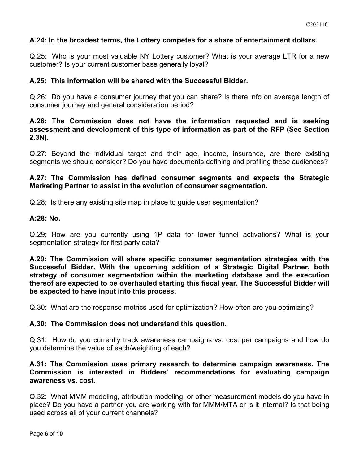### **A.24: In the broadest terms, the Lottery competes for a share of entertainment dollars.**

Q.25: Who is your most valuable NY Lottery customer? What is your average LTR for a new customer? Is your current customer base generally loyal?

#### **A.25: This information will be shared with the Successful Bidder.**

Q.26: Do you have a consumer journey that you can share? Is there info on average length of consumer journey and general consideration period?

### **A.26: The Commission does not have the information requested and is seeking assessment and development of this type of information as part of the RFP (See Section 2.3N).**

Q.27: Beyond the individual target and their age, income, insurance, are there existing segments we should consider? Do you have documents defining and profiling these audiences?

### **A.27: The Commission has defined consumer segments and expects the Strategic Marketing Partner to assist in the evolution of consumer segmentation.**

Q.28: Is there any existing site map in place to guide user segmentation?

#### **A:28: No.**

Q.29: How are you currently using 1P data for lower funnel activations? What is your segmentation strategy for first party data?

**A.29: The Commission will share specific consumer segmentation strategies with the Successful Bidder. With the upcoming addition of a Strategic Digital Partner, both strategy of consumer segmentation within the marketing database and the execution thereof are expected to be overhauled starting this fiscal year. The Successful Bidder will be expected to have input into this process.**

Q.30: What are the response metrics used for optimization? How often are you optimizing?

#### **A.30: The Commission does not understand this question.**

Q.31: How do you currently track awareness campaigns vs. cost per campaigns and how do you determine the value of each/weighting of each?

#### **A.31: The Commission uses primary research to determine campaign awareness. The Commission is interested in Bidders' recommendations for evaluating campaign awareness vs. cost.**

Q.32: What MMM modeling, attribution modeling, or other measurement models do you have in place? Do you have a partner you are working with for MMM/MTA or is it internal? Is that being used across all of your current channels?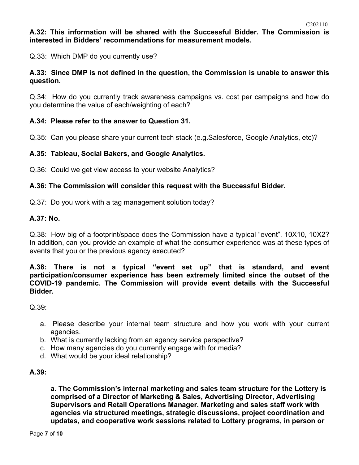**A.32: This information will be shared with the Successful Bidder. The Commission is interested in Bidders' recommendations for measurement models.**

Q.33: Which DMP do you currently use?

#### **A.33: Since DMP is not defined in the question, the Commission is unable to answer this question.**

Q.34: How do you currently track awareness campaigns vs. cost per campaigns and how do you determine the value of each/weighting of each?

#### **A.34: Please refer to the answer to Question 31.**

Q.35: Can you please share your current tech stack (e.g.Salesforce, Google Analytics, etc)?

#### **A.35: Tableau, Social Bakers, and Google Analytics.**

Q.36: Could we get view access to your website Analytics?

#### **A.36: The Commission will consider this request with the Successful Bidder.**

Q.37: Do you work with a tag management solution today?

#### **A.37: No.**

Q.38: How big of a footprint/space does the Commission have a typical "event". 10X10, 10X2? In addition, can you provide an example of what the consumer experience was at these types of events that you or the previous agency executed?

**A.38: There is not a typical "event set up" that is standard, and event participation/consumer experience has been extremely limited since the outset of the COVID-19 pandemic. The Commission will provide event details with the Successful Bidder.**

Q.39:

- a. Please describe your internal team structure and how you work with your current agencies.
- b. What is currently lacking from an agency service perspective?
- c. How many agencies do you currently engage with for media?
- d. What would be your ideal relationship?

#### **A.39:**

**a. The Commission's internal marketing and sales team structure for the Lottery is comprised of a Director of Marketing & Sales, Advertising Director, Advertising Supervisors and Retail Operations Manager. Marketing and sales staff work with agencies via structured meetings, strategic discussions, project coordination and updates, and cooperative work sessions related to Lottery programs, in person or**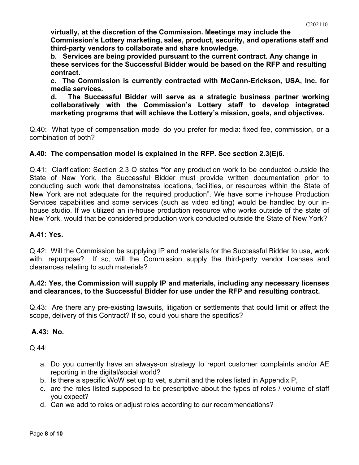**virtually, at the discretion of the Commission. Meetings may include the Commission's Lottery marketing, sales, product, security, and operations staff and third-party vendors to collaborate and share knowledge.**

**b. Services are being provided pursuant to the current contract. Any change in these services for the Successful Bidder would be based on the RFP and resulting contract.**

**c. The Commission is currently contracted with McCann-Erickson, USA, Inc. for media services.**

**d. The Successful Bidder will serve as a strategic business partner working collaboratively with the Commission's Lottery staff to develop integrated marketing programs that will achieve the Lottery's mission, goals, and objectives.**

Q.40: What type of compensation model do you prefer for media: fixed fee, commission, or a combination of both?

### **A.40: The compensation model is explained in the RFP. See section 2.3(E)6.**

Q.41: Clarification: Section 2.3 Q states "for any production work to be conducted outside the State of New York, the Successful Bidder must provide written documentation prior to conducting such work that demonstrates locations, facilities, or resources within the State of New York are not adequate for the required production". We have some in-house Production Services capabilities and some services (such as video editing) would be handled by our inhouse studio. If we utilized an in-house production resource who works outside of the state of New York, would that be considered production work conducted outside the State of New York?

#### **A.41: Yes.**

Q.42: Will the Commission be supplying IP and materials for the Successful Bidder to use, work with, repurpose? If so, will the Commission supply the third-party vendor licenses and clearances relating to such materials?

#### **A.42: Yes, the Commission will supply IP and materials, including any necessary licenses and clearances, to the Successful Bidder for use under the RFP and resulting contract.**

Q.43: Are there any pre-existing lawsuits, litigation or settlements that could limit or affect the scope, delivery of this Contract? If so, could you share the specifics?

#### **A.43: No.**

Q.44:

- a. Do you currently have an always-on strategy to report customer complaints and/or AE reporting in the digital/social world?
- b. Is there a specific WoW set up to vet, submit and the roles listed in Appendix P,
- c. are the roles listed supposed to be prescriptive about the types of roles / volume of staff you expect?
- d. Can we add to roles or adjust roles according to our recommendations?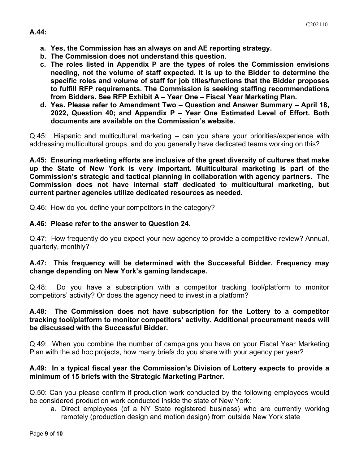- **a. Yes, the Commission has an always on and AE reporting strategy.**
- **b. The Commission does not understand this question.**
- **c. The roles listed in Appendix P are the types of roles the Commission envisions needing, not the volume of staff expected. It is up to the Bidder to determine the specific roles and volume of staff for job titles/functions that the Bidder proposes to fulfill RFP requirements. The Commission is seeking staffing recommendations from Bidders. See RFP Exhibit A – Year One – Fiscal Year Marketing Plan.**
- **d. Yes. Please refer to Amendment Two – Question and Answer Summary – April 18, 2022, Question 40; and Appendix P – Year One Estimated Level of Effort. Both documents are available on the Commission's website.**

Q.45: Hispanic and multicultural marketing – can you share your priorities/experience with addressing multicultural groups, and do you generally have dedicated teams working on this?

**A.45: Ensuring marketing efforts are inclusive of the great diversity of cultures that make up the State of New York is very important. Multicultural marketing is part of the Commission's strategic and tactical planning in collaboration with agency partners. The Commission does not have internal staff dedicated to multicultural marketing, but current partner agencies utilize dedicated resources as needed.**

Q.46: How do you define your competitors in the category?

### **A.46: Please refer to the answer to Question 24.**

Q.47: How frequently do you expect your new agency to provide a competitive review? Annual, quarterly, monthly?

#### **A.47: This frequency will be determined with the Successful Bidder. Frequency may change depending on New York's gaming landscape.**

Q.48: Do you have a subscription with a competitor tracking tool/platform to monitor competitors' activity? Or does the agency need to invest in a platform?

#### **A.48: The Commission does not have subscription for the Lottery to a competitor tracking tool/platform to monitor competitors' activity. Additional procurement needs will be discussed with the Successful Bidder.**

Q.49: When you combine the number of campaigns you have on your Fiscal Year Marketing Plan with the ad hoc projects, how many briefs do you share with your agency per year?

### **A.49: In a typical fiscal year the Commission's Division of Lottery expects to provide a minimum of 15 briefs with the Strategic Marketing Partner.**

Q.50: Can you please confirm if production work conducted by the following employees would be considered production work conducted inside the state of New York:

a. Direct employees (of a NY State registered business) who are currently working remotely (production design and motion design) from outside New York state